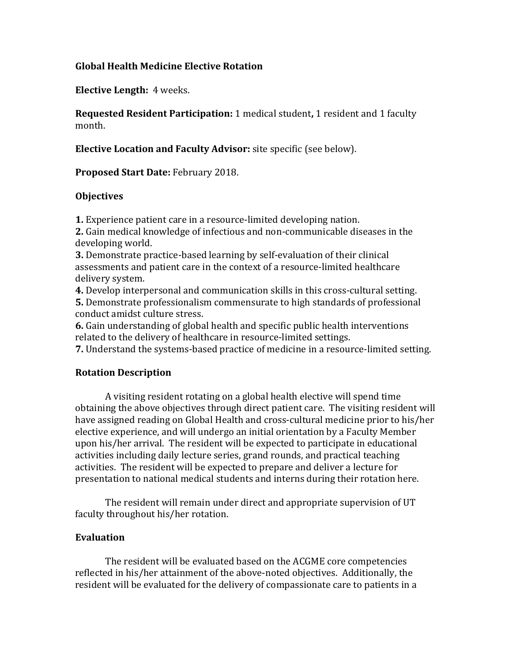### **Global Health Medicine Elective Rotation**

**Elective Length:** 4 weeks.

**Requested Resident Participation:** 1 medical student**,** 1 resident and 1 faculty month.

**Elective Location and Faculty Advisor:** site specific (see below).

**Proposed Start Date:** February 2018.

### **Objectives**

**1.** Experience patient care in a resource-limited developing nation.

**2.** Gain medical knowledge of infectious and non-communicable diseases in the developing world.

**3.** Demonstrate practice-based learning by self-evaluation of their clinical assessments and patient care in the context of a resource-limited healthcare delivery system.

**4.** Develop interpersonal and communication skills in this cross-cultural setting.

**5.** Demonstrate professionalism commensurate to high standards of professional conduct amidst culture stress.

**6.** Gain understanding of global health and specific public health interventions related to the delivery of healthcare in resource-limited settings.

**7.** Understand the systems-based practice of medicine in a resource-limited setting.

# **Rotation Description**

A visiting resident rotating on a global health elective will spend time obtaining the above objectives through direct patient care. The visiting resident will have assigned reading on Global Health and cross-cultural medicine prior to his/her elective experience, and will undergo an initial orientation by a Faculty Member upon his/her arrival. The resident will be expected to participate in educational activities including daily lecture series, grand rounds, and practical teaching activities. The resident will be expected to prepare and deliver a lecture for presentation to national medical students and interns during their rotation here.

The resident will remain under direct and appropriate supervision of UT faculty throughout his/her rotation.

#### **Evaluation**

The resident will be evaluated based on the ACGME core competencies reflected in his/her attainment of the above-noted objectives. Additionally, the resident will be evaluated for the delivery of compassionate care to patients in a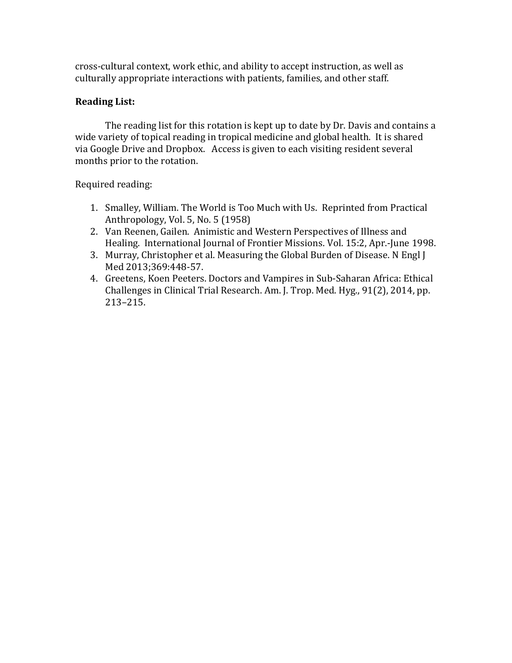cross-cultural context, work ethic, and ability to accept instruction, as well as culturally appropriate interactions with patients, families, and other staff.

# **Reading List:**

The reading list for this rotation is kept up to date by Dr. Davis and contains a wide variety of topical reading in tropical medicine and global health. It is shared via Google Drive and Dropbox. Access is given to each visiting resident several months prior to the rotation.

Required reading:

- 1. Smalley, William. The World is Too Much with Us. Reprinted from Practical Anthropology, Vol. 5, No. 5 (1958)
- 2. Van Reenen, Gailen. Animistic and Western Perspectives of Illness and Healing. International Journal of Frontier Missions. Vol. 15:2, Apr.-June 1998.
- 3. Murray, Christopher et al. Measuring the Global Burden of Disease. N Engl J Med 2013;369:448-57.
- 4. Greetens, Koen Peeters. Doctors and Vampires in Sub-Saharan Africa: Ethical Challenges in Clinical Trial Research. Am. J. Trop. Med. Hyg., 91(2), 2014, pp. 213–215.